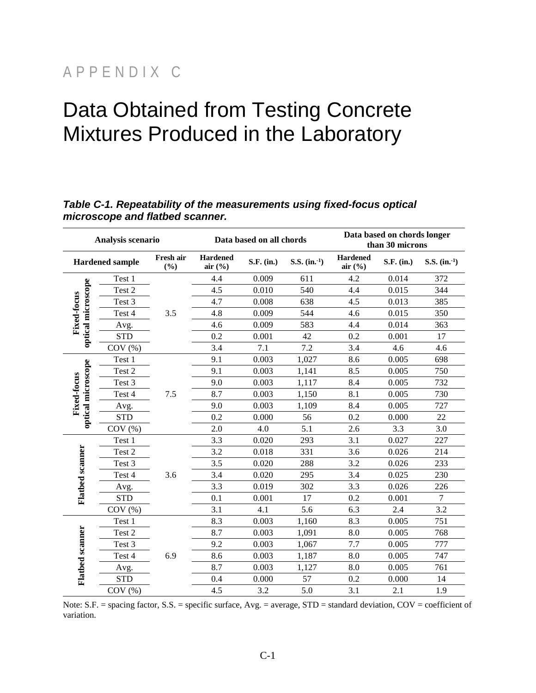## APPENDIX C

# Data Obtained from Testing Concrete Mixtures Produced in the Laboratory

#### **Analysis scenario Data based on all chords Data based on chords longer than 30 microns Hardened sample Fresh air Hardened air** (%) **S.F. (in.) S.S. (in.**<sup>1</sup>) **air (%) S.F. (in.) S.S. (in.-1) Hardened (%)** Test 1 4.4 0.009 611 4.2 0.014 372 optical microscope **optical microscope** Test 2 4.5 0.010 540 4.4 0.015 344 Fixed-focus **Fixed-focus**  Test 3 4.7 0.008 638 4.5 0.013 385 3.5 Test 4 4.8 0.009 544 4.6 0.015 350 Avg. 4.6 0.009 583 4.4 0.014 363 STD 0.2 0.001 42 0.2 0.001 17 COV (%)  $3.4$   $7.1$   $7.2$   $3.4$   $4.6$   $4.6$ Test 1 9.1 0.003 1,027 8.6 0.005 698 optical microscope **optical microscope** Test 2 9.1 0.003 1,141 8.5 0.005 750 Fixed-focus **Fixed-focus**  Test 3 9.0 0.003 1,117 8.4 0.005 732 7.5 Test 4 7.5 8.7 0.003 1,150 8.1 0.005 730 Avg. 9.0 0.003 1,109 8.4 0.005 727 STD 0.2 0.000 56 0.2 0.000 22 COV (%) 2.0 4.0 5.1 2.6 3.3 3.0 Test 1 3.3 0.020 293 3.1 0.027 227 Flatbed scanner **Flatbed scanner** Test 2 3.2 0.018 331 3.6 0.026 214 Test 3 3.5 0.020 288 3.2 0.026 233 3.6 Test 4 3.4 0.020 295 3.4 0.025 230 Avg. 3.3 0.019 302 3.3 0.026 226 STD 0.1 0.001 17 0.2 0.001 7 COV (%)  $3.1$   $4.1$   $5.6$   $6.3$   $2.4$   $3.2$ Test 1 8.3 0.003 1,160 8.3 0.005 751 Flatbed scanner **Flatbed scanner** Test 2 8.7 0.003 1,091 8.0 0.005 768 Test 3 9.2 0.003 1,067 7.7 0.005 777 Test 4 8.6 0.003 1,187 8.0 0.005 747 6.9 Avg. 8.7 0.003 1,127 8.0 0.005 761 STD 0.4 0.000 57 0.2 0.000 14 COV (%)  $4.5$   $3.2$   $5.0$   $3.1$   $2.1$   $1.9$

#### *Table C-1. Repeatability of the measurements using fixed-focus optical microscope and flatbed scanner.*

Note:  $S.F.$  = spacing factor,  $S.S.$  = specific surface,  $Avg.$  = average,  $STD$  = standard deviation,  $COV$  = coefficient of variation.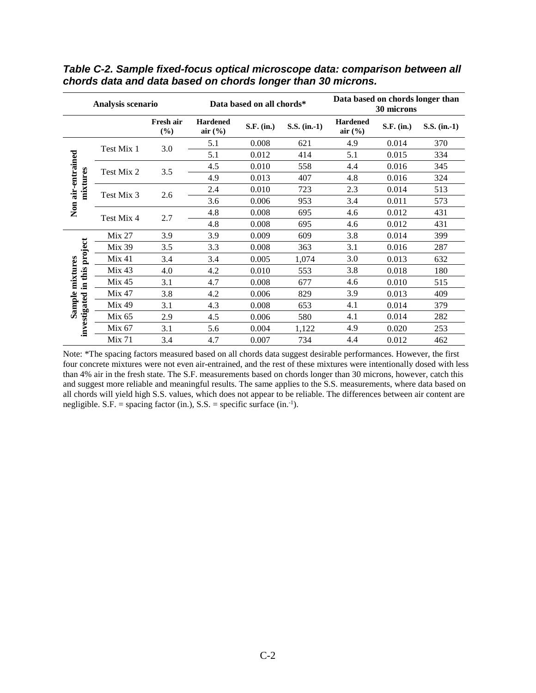|                                    | Analysis scenario |                  |                                | Data based on all chords* |                | Data based on chords longer than<br>30 microns |            |                |  |  |
|------------------------------------|-------------------|------------------|--------------------------------|---------------------------|----------------|------------------------------------------------|------------|----------------|--|--|
|                                    |                   | Fresh air<br>(%) | <b>Hardened</b><br>air $(\% )$ | S.F. (in.)                | $S.S.$ (in.-1) | <b>Hardened</b><br>air $(\frac{6}{6})$         | S.F. (in.) | $S.S.$ (in.-1) |  |  |
|                                    | Test Mix 1        |                  | 5.1                            | 0.008                     | 621            | 4.9                                            | 0.014      | 370            |  |  |
|                                    |                   | 3.0              | 5.1                            | 0.012                     | 414            | 5.1                                            | 0.015      | 334            |  |  |
|                                    | Test Mix 2        | 3.5              | 4.5                            | 0.010                     | 558            | 4.4                                            | 0.016      | 345            |  |  |
| Non air-entrained<br>mixtures      |                   |                  | 4.9                            | 0.013                     | 407            | 4.8                                            | 0.016      | 324            |  |  |
|                                    |                   |                  | 2.4                            | 0.010                     | 723            | 2.3                                            | 0.014      | 513            |  |  |
|                                    | Test Mix 3        | 2.6              | 3.6                            | 0.006                     | 953            | 3.4                                            | 0.011      | 573            |  |  |
|                                    | Test Mix 4        | 2.7              | 4.8                            | 0.008                     | 695            | 4.6                                            | 0.012      | 431            |  |  |
|                                    |                   |                  | 4.8                            | 0.008                     | 695            | 4.6                                            | 0.012      | 431            |  |  |
|                                    | Mix 27            | 3.9              | 3.9                            | 0.009                     | 609            | 3.8                                            | 0.014      | 399            |  |  |
|                                    | <b>Mix 39</b>     | 3.5              | 3.3                            | 0.008                     | 363            | 3.1                                            | 0.016      | 287            |  |  |
|                                    | Mix 41            | 3.4              | 3.4                            | 0.005                     | 1,074          | 3.0                                            | 0.013      | 632            |  |  |
| in this project<br>Sample mixtures | Mix 43            | 4.0              | 4.2                            | 0.010                     | 553            | 3.8                                            | 0.018      | 180            |  |  |
|                                    | Mix 45            | 3.1              | 4.7                            | 0.008                     | 677            | 4.6                                            | 0.010      | 515            |  |  |
|                                    | <b>Mix 47</b>     | 3.8              | 4.2                            | 0.006                     | 829            | 3.9                                            | 0.013      | 409            |  |  |
|                                    | <b>Mix 49</b>     | 3.1              | 4.3                            | 0.008                     | 653            | 4.1                                            | 0.014      | 379            |  |  |
| investigated                       | Mix 65            | 2.9              | 4.5                            | 0.006                     | 580            | 4.1                                            | 0.014      | 282            |  |  |
|                                    | Mix 67            | 3.1              | 5.6                            | 0.004                     | 1,122          | 4.9                                            | 0.020      | 253            |  |  |
|                                    | Mix 71            | 3.4              | 4.7                            | 0.007                     | 734            | 4.4                                            | 0.012      | 462            |  |  |

*Table C-2. Sample fixed-focus optical microscope data: comparison between all chords data and data based on chords longer than 30 microns.* 

Note: \*The spacing factors measured based on all chords data suggest desirable performances. However, the first four concrete mixtures were not even air-entrained, and the rest of these mixtures were intentionally dosed with less than 4% air in the fresh state. The S.F. measurements based on chords longer than 30 microns, however, catch this and suggest more reliable and meaningful results. The same applies to the S.S. measurements, where data based on all chords will yield high S.S. values, which does not appear to be reliable. The differences between air content are negligible. S.F. = spacing factor (in.), S.S. = specific surface (in.<sup>-1</sup>).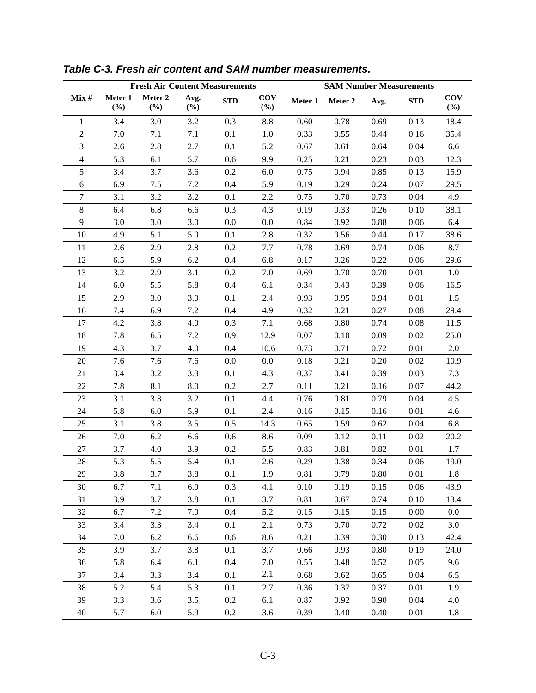|                |                   |                   |             | <b>SAM Number Measurements</b><br><b>Fresh Air Content Measurements</b> |                      |         |          |      |            |                   |  |
|----------------|-------------------|-------------------|-------------|-------------------------------------------------------------------------|----------------------|---------|----------|------|------------|-------------------|--|
| Mix#           | Meter 1<br>$(\%)$ | Meter 2<br>$(\%)$ | Avg.<br>(%) | <b>STD</b>                                                              | <b>COV</b><br>$(\%)$ | Meter 1 | Meter 2  | Avg. | <b>STD</b> | <b>COV</b><br>(%) |  |
| $\mathbf{1}$   | 3.4               | 3.0               | 3.2         | 0.3                                                                     | 8.8                  | 0.60    | 0.78     | 0.69 | 0.13       | 18.4              |  |
| $\overline{2}$ | 7.0               | 7.1               | $7.1\,$     | 0.1                                                                     | 1.0                  | 0.33    | 0.55     | 0.44 | 0.16       | 35.4              |  |
| 3              | 2.6               | 2.8               | 2.7         | 0.1                                                                     | 5.2                  | 0.67    | 0.61     | 0.64 | 0.04       | 6.6               |  |
| $\overline{4}$ | 5.3               | 6.1               | 5.7         | 0.6                                                                     | 9.9                  | 0.25    | 0.21     | 0.23 | 0.03       | 12.3              |  |
| 5              | 3.4               | 3.7               | 3.6         | 0.2                                                                     | 6.0                  | 0.75    | 0.94     | 0.85 | 0.13       | 15.9              |  |
| 6              | 6.9               | 7.5               | 7.2         | 0.4                                                                     | 5.9                  | 0.19    | 0.29     | 0.24 | 0.07       | 29.5              |  |
| $\overline{7}$ | 3.1               | 3.2               | 3.2         | 0.1                                                                     | 2.2                  | 0.75    | 0.70     | 0.73 | 0.04       | 4.9               |  |
| $8\,$          | 6.4               | 6.8               | 6.6         | 0.3                                                                     | 4.3                  | 0.19    | 0.33     | 0.26 | 0.10       | 38.1              |  |
| 9              | 3.0               | 3.0               | 3.0         | 0.0                                                                     | 0.0                  | 0.84    | 0.92     | 0.88 | 0.06       | 6.4               |  |
| 10             | 4.9               | 5.1               | 5.0         | 0.1                                                                     | 2.8                  | 0.32    | 0.56     | 0.44 | 0.17       | 38.6              |  |
| 11             | 2.6               | 2.9               | 2.8         | 0.2                                                                     | 7.7                  | 0.78    | 0.69     | 0.74 | 0.06       | 8.7               |  |
| 12             | 6.5               | 5.9               | 6.2         | 0.4                                                                     | 6.8                  | 0.17    | 0.26     | 0.22 | 0.06       | 29.6              |  |
| 13             | 3.2               | 2.9               | 3.1         | 0.2                                                                     | 7.0                  | 0.69    | 0.70     | 0.70 | 0.01       | 1.0               |  |
| 14             | 6.0               | 5.5               | 5.8         | 0.4                                                                     | 6.1                  | 0.34    | 0.43     | 0.39 | 0.06       | 16.5              |  |
| 15             | 2.9               | 3.0               | 3.0         | 0.1                                                                     | 2.4                  | 0.93    | 0.95     | 0.94 | 0.01       | 1.5               |  |
| 16             | 7.4               | 6.9               | $7.2\,$     | 0.4                                                                     | 4.9                  | 0.32    | 0.21     | 0.27 | 0.08       | 29.4              |  |
| 17             | 4.2               | 3.8               | 4.0         | 0.3                                                                     | 7.1                  | 0.68    | 0.80     | 0.74 | 0.08       | 11.5              |  |
| 18             | 7.8               | 6.5               | 7.2         | 0.9                                                                     | 12.9                 | 0.07    | $0.10\,$ | 0.09 | 0.02       | 25.0              |  |
| 19             | 4.3               | 3.7               | 4.0         | 0.4                                                                     | 10.6                 | 0.73    | 0.71     | 0.72 | 0.01       | 2.0               |  |
| 20             | 7.6               | 7.6               | 7.6         | $0.0\,$                                                                 | 0.0                  | 0.18    | 0.21     | 0.20 | 0.02       | 10.9              |  |
| 21             | 3.4               | 3.2               | 3.3         | 0.1                                                                     | 4.3                  | 0.37    | 0.41     | 0.39 | 0.03       | 7.3               |  |
| 22             | 7.8               | 8.1               | 8.0         | 0.2                                                                     | 2.7                  | 0.11    | 0.21     | 0.16 | 0.07       | 44.2              |  |
| 23             | 3.1               | 3.3               | 3.2         | 0.1                                                                     | 4.4                  | 0.76    | 0.81     | 0.79 | 0.04       | 4.5               |  |
| 24             | 5.8               | 6.0               | 5.9         | 0.1                                                                     | 2.4                  | 0.16    | 0.15     | 0.16 | 0.01       | 4.6               |  |
| 25             | 3.1               | 3.8               | 3.5         | 0.5                                                                     | 14.3                 | 0.65    | 0.59     | 0.62 | 0.04       | 6.8               |  |
| 26             | 7.0               | 6.2               | 6.6         | 0.6                                                                     | 8.6                  | 0.09    | 0.12     | 0.11 | 0.02       | 20.2              |  |
| 27             | 3.7               | 4.0               | 3.9         | 0.2                                                                     | 5.5                  | 0.83    | 0.81     | 0.82 | 0.01       | 1.7               |  |
| 28             | 5.3               | 5.5               | 5.4         | 0.1                                                                     | 2.6                  | 0.29    | 0.38     | 0.34 | 0.06       | 19.0              |  |
| 29             | 3.8               | 3.7               | 3.8         | 0.1                                                                     | 1.9                  | 0.81    | 0.79     | 0.80 | 0.01       | 1.8               |  |
| 30             | 6.7               | 7.1               | 6.9         | 0.3                                                                     | 4.1                  | 0.10    | 0.19     | 0.15 | 0.06       | 43.9              |  |
| 31             | 3.9               | 3.7               | 3.8         | 0.1                                                                     | 3.7                  | 0.81    | 0.67     | 0.74 | 0.10       | 13.4              |  |
| 32             | 6.7               | 7.2               | 7.0         | 0.4                                                                     | 5.2                  | 0.15    | 0.15     | 0.15 | 0.00       | 0.0               |  |
| 33             | 3.4               | 3.3               | 3.4         | 0.1                                                                     | 2.1                  | 0.73    | 0.70     | 0.72 | 0.02       | 3.0               |  |
| 34             | 7.0               | 6.2               | 6.6         | 0.6                                                                     | 8.6                  | 0.21    | 0.39     | 0.30 | 0.13       | 42.4              |  |
| 35             | 3.9               | 3.7               | 3.8         | 0.1                                                                     | 3.7                  | 0.66    | 0.93     | 0.80 | 0.19       | 24.0              |  |
| 36             | 5.8               | 6.4               | 6.1         | 0.4                                                                     | 7.0                  | 0.55    | 0.48     | 0.52 | 0.05       | 9.6               |  |
| 37             | 3.4               | 3.3               | 3.4         | 0.1                                                                     | 2.1                  | 0.68    | 0.62     | 0.65 | 0.04       | 6.5               |  |
| 38             | 5.2               | 5.4               | 5.3         | 0.1                                                                     | 2.7                  | 0.36    | 0.37     | 0.37 | 0.01       | 1.9               |  |
| 39             | 3.3               | 3.6               | 3.5         | 0.2                                                                     | 6.1                  | 0.87    | 0.92     | 0.90 | 0.04       | 4.0               |  |
| 40             | 5.7               | 6.0               | 5.9         | 0.2                                                                     | 3.6                  | 0.39    | 0.40     | 0.40 | 0.01       | 1.8               |  |

#### *Table C-3. Fresh air content and SAM number measurements.*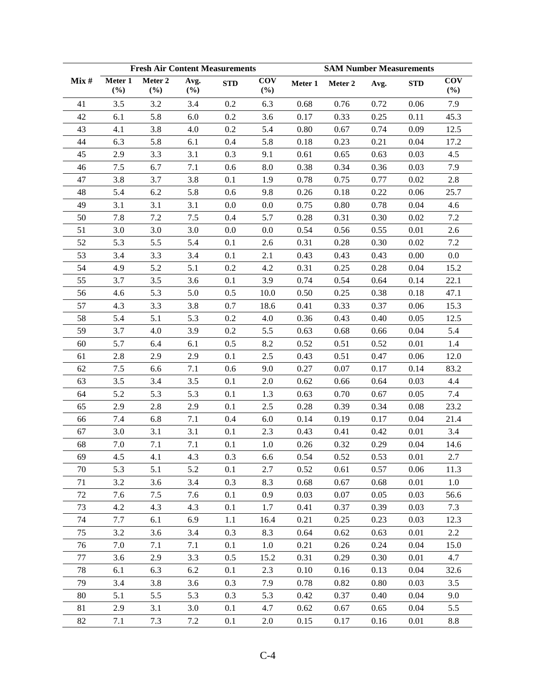|      |                | <b>Fresh Air Content Measurements</b> |             |            |                   | <b>SAM Number Measurements</b> |         |      |            |                   |  |  |
|------|----------------|---------------------------------------|-------------|------------|-------------------|--------------------------------|---------|------|------------|-------------------|--|--|
| Mix# | Meter 1<br>(%) | Meter 2<br>(%)                        | Avg.<br>(%) | <b>STD</b> | <b>COV</b><br>(%) | Meter 1                        | Meter 2 | Avg. | <b>STD</b> | <b>COV</b><br>(%) |  |  |
| 41   | 3.5            | 3.2                                   | 3.4         | 0.2        | 6.3               | 0.68                           | 0.76    | 0.72 | 0.06       | 7.9               |  |  |
| 42   | 6.1            | 5.8                                   | 6.0         | 0.2        | 3.6               | 0.17                           | 0.33    | 0.25 | 0.11       | 45.3              |  |  |
| 43   | 4.1            | 3.8                                   | 4.0         | 0.2        | 5.4               | 0.80                           | 0.67    | 0.74 | 0.09       | 12.5              |  |  |
| 44   | 6.3            | 5.8                                   | 6.1         | 0.4        | 5.8               | 0.18                           | 0.23    | 0.21 | 0.04       | 17.2              |  |  |
| 45   | 2.9            | 3.3                                   | 3.1         | 0.3        | 9.1               | 0.61                           | 0.65    | 0.63 | 0.03       | 4.5               |  |  |
| 46   | 7.5            | 6.7                                   | 7.1         | 0.6        | 8.0               | 0.38                           | 0.34    | 0.36 | 0.03       | 7.9               |  |  |
| 47   | 3.8            | 3.7                                   | 3.8         | 0.1        | 1.9               | 0.78                           | 0.75    | 0.77 | 0.02       | 2.8               |  |  |
| 48   | 5.4            | 6.2                                   | 5.8         | 0.6        | 9.8               | 0.26                           | 0.18    | 0.22 | 0.06       | 25.7              |  |  |
| 49   | 3.1            | 3.1                                   | 3.1         | 0.0        | 0.0               | 0.75                           | 0.80    | 0.78 | 0.04       | 4.6               |  |  |
| 50   | 7.8            | 7.2                                   | $7.5$       | 0.4        | 5.7               | 0.28                           | 0.31    | 0.30 | 0.02       | 7.2               |  |  |
| 51   | 3.0            | 3.0                                   | 3.0         | 0.0        | 0.0               | 0.54                           | 0.56    | 0.55 | 0.01       | 2.6               |  |  |
| 52   | 5.3            | 5.5                                   | 5.4         | 0.1        | 2.6               | 0.31                           | 0.28    | 0.30 | 0.02       | 7.2               |  |  |
| 53   | 3.4            | 3.3                                   | 3.4         | 0.1        | 2.1               | 0.43                           | 0.43    | 0.43 | 0.00       | $0.0\,$           |  |  |
| 54   | 4.9            | 5.2                                   | 5.1         | 0.2        | 4.2               | 0.31                           | 0.25    | 0.28 | 0.04       | 15.2              |  |  |
| 55   | 3.7            | 3.5                                   | 3.6         | 0.1        | 3.9               | 0.74                           | 0.54    | 0.64 | 0.14       | 22.1              |  |  |
| 56   | 4.6            | 5.3                                   | 5.0         | 0.5        | 10.0              | 0.50                           | 0.25    | 0.38 | 0.18       | 47.1              |  |  |
| 57   | 4.3            | 3.3                                   | 3.8         | 0.7        | 18.6              | 0.41                           | 0.33    | 0.37 | 0.06       | 15.3              |  |  |
| 58   | 5.4            | 5.1                                   | 5.3         | 0.2        | 4.0               | 0.36                           | 0.43    | 0.40 | 0.05       | 12.5              |  |  |
| 59   | 3.7            | 4.0                                   | 3.9         | 0.2        | 5.5               | 0.63                           | 0.68    | 0.66 | 0.04       | 5.4               |  |  |
| 60   | 5.7            | 6.4                                   | 6.1         | 0.5        | 8.2               | 0.52                           | 0.51    | 0.52 | 0.01       | 1.4               |  |  |
| 61   | 2.8            | 2.9                                   | 2.9         | 0.1        | 2.5               | 0.43                           | 0.51    | 0.47 | 0.06       | 12.0              |  |  |
| 62   | 7.5            | 6.6                                   | 7.1         | 0.6        | 9.0               | 0.27                           | 0.07    | 0.17 | 0.14       | 83.2              |  |  |
| 63   | 3.5            | 3.4                                   | 3.5         | 0.1        | $2.0\,$           | 0.62                           | 0.66    | 0.64 | 0.03       | 4.4               |  |  |
| 64   | 5.2            | 5.3                                   | 5.3         | 0.1        | 1.3               | 0.63                           | 0.70    | 0.67 | 0.05       | 7.4               |  |  |
| 65   | 2.9            | 2.8                                   | 2.9         | 0.1        | 2.5               | 0.28                           | 0.39    | 0.34 | 0.08       | 23.2              |  |  |
| 66   | 7.4            | 6.8                                   | 7.1         | 0.4        | 6.0               | 0.14                           | 0.19    | 0.17 | $0.04\,$   | 21.4              |  |  |
| 67   | 3.0            | 3.1                                   | 3.1         | 0.1        | 2.3               | 0.43                           | 0.41    | 0.42 | 0.01       | 3.4               |  |  |
| 68   | 7.0            | 7.1                                   | 7.1         | 0.1        | 1.0               | $0.26\,$                       | 0.32    | 0.29 | 0.04       | 14.6              |  |  |
| 69   | 4.5            | 4.1                                   | 4.3         | 0.3        | 6.6               | 0.54                           | 0.52    | 0.53 | 0.01       | 2.7               |  |  |
| 70   | 5.3            | 5.1                                   | 5.2         | 0.1        | 2.7               | 0.52                           | 0.61    | 0.57 | 0.06       | 11.3              |  |  |
| 71   | 3.2            | 3.6                                   | 3.4         | 0.3        | 8.3               | 0.68                           | 0.67    | 0.68 | 0.01       | 1.0               |  |  |
| 72   | 7.6            | 7.5                                   | 7.6         | 0.1        | 0.9               | 0.03                           | 0.07    | 0.05 | 0.03       | 56.6              |  |  |
| 73   | 4.2            | 4.3                                   | 4.3         | 0.1        | 1.7               | 0.41                           | 0.37    | 0.39 | 0.03       | 7.3               |  |  |
| 74   | 7.7            | 6.1                                   | 6.9         | 1.1        | 16.4              | 0.21                           | 0.25    | 0.23 | 0.03       | 12.3              |  |  |
| 75   | 3.2            | 3.6                                   | 3.4         | 0.3        | 8.3               | 0.64                           | 0.62    | 0.63 | 0.01       | 2.2               |  |  |
| 76   | 7.0            | 7.1                                   | 7.1         | 0.1        | 1.0               | 0.21                           | 0.26    | 0.24 | 0.04       | 15.0              |  |  |
| 77   | 3.6            | 2.9                                   | 3.3         | 0.5        | 15.2              | 0.31                           | 0.29    | 0.30 | 0.01       | 4.7               |  |  |
| 78   | 6.1            | 6.3                                   | 6.2         | 0.1        | 2.3               | 0.10                           | 0.16    | 0.13 | 0.04       | 32.6              |  |  |
| 79   | 3.4            | 3.8                                   | 3.6         | 0.3        | 7.9               | 0.78                           | 0.82    | 0.80 | 0.03       | 3.5               |  |  |
| 80   | 5.1            | 5.5                                   | 5.3         | 0.3        | 5.3               | 0.42                           | 0.37    | 0.40 | 0.04       | 9.0               |  |  |
| 81   | 2.9            | 3.1                                   | 3.0         | 0.1        | 4.7               | 0.62                           | 0.67    | 0.65 | 0.04       | 5.5               |  |  |
| 82   | 7.1            | 7.3                                   | 7.2         | 0.1        | 2.0               | 0.15                           | 0.17    | 0.16 | 0.01       | 8.8               |  |  |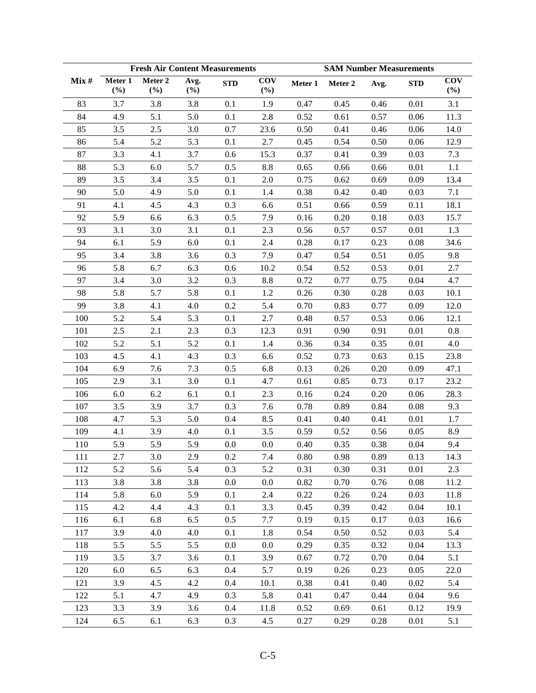|      |                | <b>Fresh Air Content Measurements</b> |             |            |                                | <b>SAM Number Measurements</b> |         |      |            |                   |  |  |
|------|----------------|---------------------------------------|-------------|------------|--------------------------------|--------------------------------|---------|------|------------|-------------------|--|--|
| Mix# | Meter 1<br>(%) | Meter 2<br>(%)                        | Avg.<br>(%) | <b>STD</b> | $\overline{\text{cov}}$<br>(%) | Meter 1                        | Meter 2 | Avg. | <b>STD</b> | <b>COV</b><br>(%) |  |  |
| 83   | 3.7            | 3.8                                   | 3.8         | 0.1        | 1.9                            | 0.47                           | 0.45    | 0.46 | 0.01       | 3.1               |  |  |
| 84   | 4.9            | 5.1                                   | 5.0         | 0.1        | 2.8                            | 0.52                           | 0.61    | 0.57 | 0.06       | 11.3              |  |  |
| 85   | 3.5            | 2.5                                   | 3.0         | 0.7        | 23.6                           | 0.50                           | 0.41    | 0.46 | 0.06       | 14.0              |  |  |
| 86   | 5.4            | 5.2                                   | 5.3         | 0.1        | 2.7                            | 0.45                           | 0.54    | 0.50 | 0.06       | 12.9              |  |  |
| 87   | 3.3            | 4.1                                   | 3.7         | 0.6        | 15.3                           | 0.37                           | 0.41    | 0.39 | 0.03       | 7.3               |  |  |
| 88   | 5.3            | 6.0                                   | 5.7         | 0.5        | $8.8\,$                        | 0.65                           | 0.66    | 0.66 | 0.01       | 1.1               |  |  |
| 89   | 3.5            | 3.4                                   | 3.5         | 0.1        | 2.0                            | 0.75                           | 0.62    | 0.69 | 0.09       | 13.4              |  |  |
| 90   | 5.0            | 4.9                                   | 5.0         | 0.1        | 1.4                            | 0.38                           | 0.42    | 0.40 | 0.03       | 7.1               |  |  |
| 91   | 4.1            | 4.5                                   | 4.3         | 0.3        | 6.6                            | 0.51                           | 0.66    | 0.59 | 0.11       | 18.1              |  |  |
| 92   | 5.9            | 6.6                                   | 6.3         | 0.5        | 7.9                            | 0.16                           | 0.20    | 0.18 | 0.03       | 15.7              |  |  |
| 93   | 3.1            | 3.0                                   | 3.1         | $0.1\,$    | 2.3                            | 0.56                           | 0.57    | 0.57 | 0.01       | 1.3               |  |  |
| 94   | 6.1            | 5.9                                   | 6.0         | 0.1        | 2.4                            | 0.28                           | 0.17    | 0.23 | 0.08       | 34.6              |  |  |
| 95   | 3.4            | 3.8                                   | 3.6         | 0.3        | 7.9                            | 0.47                           | 0.54    | 0.51 | 0.05       | 9.8               |  |  |
| 96   | 5.8            | 6.7                                   | 6.3         | 0.6        | 10.2                           | 0.54                           | 0.52    | 0.53 | 0.01       | 2.7               |  |  |
| 97   | 3.4            | 3.0                                   | 3.2         | 0.3        | 8.8                            | 0.72                           | 0.77    | 0.75 | 0.04       | 4.7               |  |  |
| 98   | 5.8            | 5.7                                   | 5.8         | 0.1        | 1.2                            | 0.26                           | 0.30    | 0.28 | 0.03       | 10.1              |  |  |
| 99   | 3.8            | 4.1                                   | 4.0         | 0.2        | 5.4                            | 0.70                           | 0.83    | 0.77 | 0.09       | 12.0              |  |  |
| 100  | 5.2            | 5.4                                   | 5.3         | 0.1        | 2.7                            | 0.48                           | 0.57    | 0.53 | 0.06       | 12.1              |  |  |
| 101  | 2.5            | 2.1                                   | 2.3         | 0.3        | 12.3                           | 0.91                           | 0.90    | 0.91 | 0.01       | 0.8               |  |  |
| 102  | 5.2            | 5.1                                   | 5.2         | 0.1        | 1.4                            | 0.36                           | 0.34    | 0.35 | 0.01       | 4.0               |  |  |
| 103  | 4.5            | 4.1                                   | 4.3         | 0.3        | 6.6                            | 0.52                           | 0.73    | 0.63 | 0.15       | 23.8              |  |  |
| 104  | 6.9            | 7.6                                   | 7.3         | 0.5        | 6.8                            | 0.13                           | 0.26    | 0.20 | 0.09       | 47.1              |  |  |
| 105  | 2.9            | 3.1                                   | 3.0         | 0.1        | 4.7                            | 0.61                           | 0.85    | 0.73 | 0.17       | 23.2              |  |  |
| 106  | 6.0            | 6.2                                   | 6.1         | 0.1        | 2.3                            | 0.16                           | 0.24    | 0.20 | 0.06       | 28.3              |  |  |
| 107  | 3.5            | 3.9                                   | 3.7         | 0.3        | 7.6                            | 0.78                           | 0.89    | 0.84 | 0.08       | 9.3               |  |  |
| 108  | 4.7            | 5.3                                   | 5.0         | 0.4        | 8.5                            | 0.41                           | 0.40    | 0.41 | $0.01\,$   | 1.7               |  |  |
| 109  | 4.1            | 3.9                                   | 4.0         | 0.1        | 3.5                            | 0.59                           | 0.52    | 0.56 | 0.05       | 8.9               |  |  |
| 110  | 5.9            | 5.9                                   | 5.9         | $0.0\,$    | 0.0                            | 0.40                           | 0.35    | 0.38 | 0.04       | 9.4               |  |  |
| 111  | 2.7            | 3.0                                   | 2.9         | 0.2        | 7.4                            | 0.80                           | 0.98    | 0.89 | 0.13       | 14.3              |  |  |
| 112  | 5.2            | 5.6                                   | 5.4         | 0.3        | 5.2                            | 0.31                           | 0.30    | 0.31 | 0.01       | 2.3               |  |  |
| 113  | 3.8            | 3.8                                   | 3.8         | 0.0        | 0.0                            | 0.82                           | 0.70    | 0.76 | 0.08       | 11.2              |  |  |
| 114  | 5.8            | 6.0                                   | 5.9         | 0.1        | 2.4                            | 0.22                           | 0.26    | 0.24 | 0.03       | 11.8              |  |  |
| 115  | 4.2            | 4.4                                   | 4.3         | 0.1        | 3.3                            | 0.45                           | 0.39    | 0.42 | 0.04       | 10.1              |  |  |
| 116  | 6.1            | 6.8                                   | 6.5         | 0.5        | 7.7                            | 0.19                           | 0.15    | 0.17 | 0.03       | 16.6              |  |  |
| 117  | 3.9            | 4.0                                   | 4.0         | 0.1        | 1.8                            | 0.54                           | 0.50    | 0.52 | 0.03       | 5.4               |  |  |
| 118  | 5.5            | 5.5                                   | 5.5         | 0.0        | 0.0                            | 0.29                           | 0.35    | 0.32 | 0.04       | 13.3              |  |  |
| 119  | 3.5            | 3.7                                   | 3.6         | 0.1        | 3.9                            | 0.67                           | 0.72    | 0.70 | 0.04       | 5.1               |  |  |
| 120  | 6.0            | 6.5                                   | 6.3         | 0.4        | 5.7                            | 0.19                           | 0.26    | 0.23 | 0.05       | 22.0              |  |  |
| 121  | 3.9            | 4.5                                   | 4.2         | 0.4        | 10.1                           | 0.38                           | 0.41    | 0.40 | 0.02       | 5.4               |  |  |
| 122  | 5.1            | 4.7                                   | 4.9         | 0.3        | 5.8                            | 0.41                           | 0.47    | 0.44 | 0.04       | 9.6               |  |  |
| 123  | 3.3            | 3.9                                   | 3.6         | 0.4        | 11.8                           | 0.52                           | 0.69    | 0.61 | 0.12       | 19.9              |  |  |
| 124  | 6.5            | 6.1                                   | 6.3         | 0.3        | 4.5                            | 0.27                           | 0.29    | 0.28 | $0.01\,$   | 5.1               |  |  |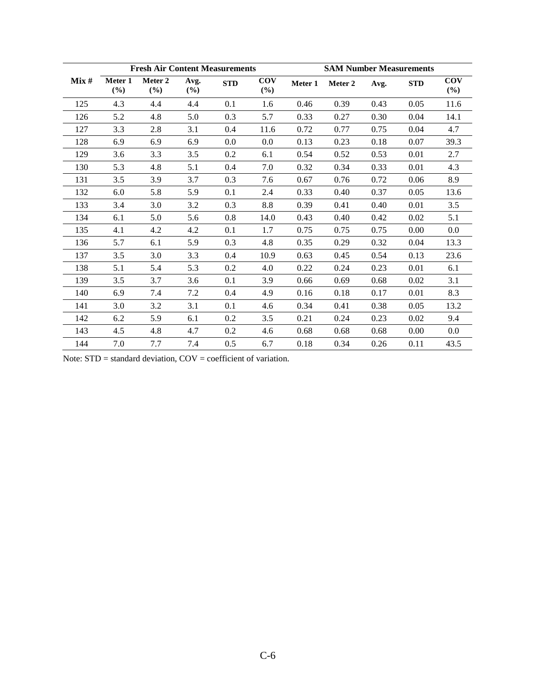|      |                | <b>Fresh Air Content Measurements</b> |             |            |                      | <b>SAM Number Measurements</b> |         |      |            |                      |  |  |
|------|----------------|---------------------------------------|-------------|------------|----------------------|--------------------------------|---------|------|------------|----------------------|--|--|
| Mix# | Meter 1<br>(%) | Meter 2<br>(%)                        | Avg.<br>(%) | <b>STD</b> | <b>COV</b><br>$(\%)$ | Meter 1                        | Meter 2 | Avg. | <b>STD</b> | <b>COV</b><br>$(\%)$ |  |  |
| 125  | 4.3            | 4.4                                   | 4.4         | 0.1        | 1.6                  | 0.46                           | 0.39    | 0.43 | 0.05       | 11.6                 |  |  |
| 126  | 5.2            | 4.8                                   | 5.0         | 0.3        | 5.7                  | 0.33                           | 0.27    | 0.30 | 0.04       | 14.1                 |  |  |
| 127  | 3.3            | 2.8                                   | 3.1         | 0.4        | 11.6                 | 0.72                           | 0.77    | 0.75 | 0.04       | 4.7                  |  |  |
| 128  | 6.9            | 6.9                                   | 6.9         | 0.0        | $0.0\,$              | 0.13                           | 0.23    | 0.18 | 0.07       | 39.3                 |  |  |
| 129  | 3.6            | 3.3                                   | 3.5         | 0.2        | 6.1                  | 0.54                           | 0.52    | 0.53 | 0.01       | 2.7                  |  |  |
| 130  | 5.3            | 4.8                                   | 5.1         | 0.4        | 7.0                  | 0.32                           | 0.34    | 0.33 | 0.01       | 4.3                  |  |  |
| 131  | 3.5            | 3.9                                   | 3.7         | 0.3        | 7.6                  | 0.67                           | 0.76    | 0.72 | 0.06       | 8.9                  |  |  |
| 132  | 6.0            | 5.8                                   | 5.9         | 0.1        | 2.4                  | 0.33                           | 0.40    | 0.37 | 0.05       | 13.6                 |  |  |
| 133  | 3.4            | 3.0                                   | 3.2         | 0.3        | $8.8\,$              | 0.39                           | 0.41    | 0.40 | 0.01       | 3.5                  |  |  |
| 134  | 6.1            | 5.0                                   | 5.6         | 0.8        | 14.0                 | 0.43                           | 0.40    | 0.42 | 0.02       | 5.1                  |  |  |
| 135  | 4.1            | 4.2                                   | 4.2         | 0.1        | 1.7                  | 0.75                           | 0.75    | 0.75 | 0.00       | 0.0                  |  |  |
| 136  | 5.7            | 6.1                                   | 5.9         | 0.3        | 4.8                  | 0.35                           | 0.29    | 0.32 | 0.04       | 13.3                 |  |  |
| 137  | 3.5            | 3.0                                   | 3.3         | 0.4        | 10.9                 | 0.63                           | 0.45    | 0.54 | 0.13       | 23.6                 |  |  |
| 138  | 5.1            | 5.4                                   | 5.3         | 0.2        | 4.0                  | 0.22                           | 0.24    | 0.23 | 0.01       | 6.1                  |  |  |
| 139  | 3.5            | 3.7                                   | 3.6         | 0.1        | 3.9                  | 0.66                           | 0.69    | 0.68 | 0.02       | 3.1                  |  |  |
| 140  | 6.9            | 7.4                                   | 7.2         | 0.4        | 4.9                  | 0.16                           | 0.18    | 0.17 | 0.01       | 8.3                  |  |  |
| 141  | 3.0            | 3.2                                   | 3.1         | 0.1        | 4.6                  | 0.34                           | 0.41    | 0.38 | 0.05       | 13.2                 |  |  |
| 142  | 6.2            | 5.9                                   | 6.1         | 0.2        | 3.5                  | 0.21                           | 0.24    | 0.23 | 0.02       | 9.4                  |  |  |
| 143  | 4.5            | 4.8                                   | 4.7         | 0.2        | 4.6                  | 0.68                           | 0.68    | 0.68 | 0.00       | 0.0                  |  |  |
| 144  | 7.0            | 7.7                                   | 7.4         | 0.5        | 6.7                  | 0.18                           | 0.34    | 0.26 | 0.11       | 43.5                 |  |  |

Note: STD = standard deviation, COV = coefficient of variation.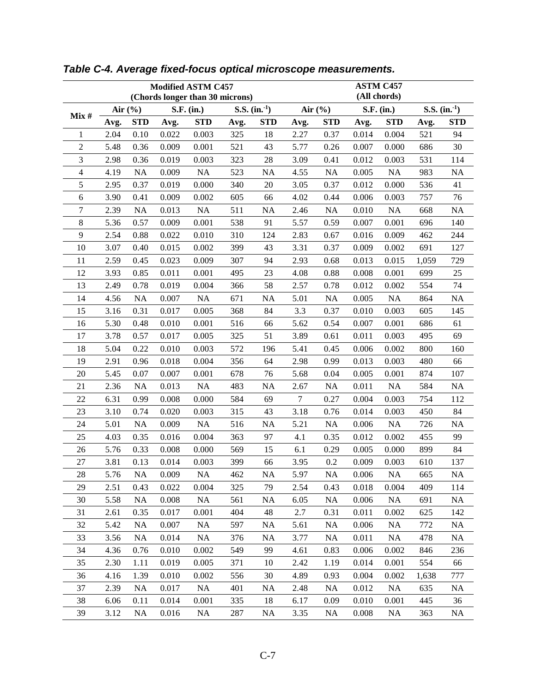|                     |      |             | Modified ASTM C457 | <b>ASTM C457</b><br>(All chords) |            |              |                                                         |            |       |            |       |            |  |
|---------------------|------|-------------|--------------------|----------------------------------|------------|--------------|---------------------------------------------------------|------------|-------|------------|-------|------------|--|
|                     |      |             |                    | (Chords longer than 30 microns)  |            |              | $S.S.$ (in. <sup>1</sup> )<br>Air $(\% )$<br>S.F. (in.) |            |       |            |       |            |  |
| Mix#                |      | Air $(\% )$ |                    | S.F. (in.)                       |            | S.S. $(in.)$ |                                                         |            |       |            |       |            |  |
|                     | Avg. | <b>STD</b>  | Avg.               | <b>STD</b>                       | Avg.       | <b>STD</b>   | Avg.                                                    | <b>STD</b> | Avg.  | <b>STD</b> | Avg.  | <b>STD</b> |  |
| 1<br>$\overline{2}$ | 2.04 | 0.10        | 0.022              | 0.003                            | 325<br>521 | 18<br>43     | 2.27                                                    | 0.37       | 0.014 | 0.004      | 521   | 94         |  |
|                     | 5.48 | 0.36        | 0.009              | 0.001                            |            |              | 5.77                                                    | 0.26       | 0.007 | 0.000      | 686   | 30         |  |
| 3                   | 2.98 | 0.36        | 0.019              | 0.003                            | 323        | 28           | 3.09                                                    | 0.41       | 0.012 | 0.003      | 531   | 114        |  |
| 4                   | 4.19 | NA          | 0.009              | NA                               | 523        | NA           | 4.55                                                    | <b>NA</b>  | 0.005 | NA         | 983   | <b>NA</b>  |  |
| 5                   | 2.95 | 0.37        | 0.019              | 0.000                            | 340        | 20           | 3.05                                                    | 0.37       | 0.012 | 0.000      | 536   | 41         |  |
| 6                   | 3.90 | 0.41        | 0.009              | 0.002                            | 605        | 66           | 4.02                                                    | 0.44       | 0.006 | 0.003      | 757   | 76         |  |
| $\overline{7}$      | 2.39 | NA          | 0.013              | NA                               | 511        | NA           | 2.46                                                    | NA         | 0.010 | NA         | 668   | <b>NA</b>  |  |
| $\,8\,$             | 5.36 | 0.57        | 0.009              | 0.001                            | 538        | 91           | 5.57                                                    | 0.59       | 0.007 | 0.001      | 696   | 140        |  |
| 9                   | 2.54 | 0.88        | 0.022              | 0.010                            | 310        | 124          | 2.83                                                    | 0.67       | 0.016 | 0.009      | 462   | 244        |  |
| 10                  | 3.07 | 0.40        | 0.015              | 0.002                            | 399        | 43           | 3.31                                                    | 0.37       | 0.009 | 0.002      | 691   | 127        |  |
| 11                  | 2.59 | 0.45        | 0.023              | 0.009                            | 307        | 94           | 2.93                                                    | 0.68       | 0.013 | 0.015      | 1,059 | 729        |  |
| 12                  | 3.93 | 0.85        | 0.011              | 0.001                            | 495        | 23           | 4.08                                                    | 0.88       | 0.008 | 0.001      | 699   | 25         |  |
| 13                  | 2.49 | 0.78        | 0.019              | 0.004                            | 366        | 58           | 2.57                                                    | 0.78       | 0.012 | 0.002      | 554   | 74         |  |
| 14                  | 4.56 | NA          | 0.007              | NA                               | 671        | <b>NA</b>    | 5.01                                                    | <b>NA</b>  | 0.005 | NA         | 864   | <b>NA</b>  |  |
| 15                  | 3.16 | 0.31        | 0.017              | 0.005                            | 368        | 84           | 3.3                                                     | 0.37       | 0.010 | 0.003      | 605   | 145        |  |
| 16                  | 5.30 | 0.48        | 0.010              | 0.001                            | 516        | 66           | 5.62                                                    | 0.54       | 0.007 | 0.001      | 686   | 61         |  |
| 17                  | 3.78 | 0.57        | 0.017              | 0.005                            | 325        | 51           | 3.89                                                    | 0.61       | 0.011 | 0.003      | 495   | 69         |  |
| 18                  | 5.04 | 0.22        | 0.010              | 0.003                            | 572        | 196          | 5.41                                                    | 0.45       | 0.006 | 0.002      | 800   | 160        |  |
| 19                  | 2.91 | 0.96        | 0.018              | 0.004                            | 356        | 64           | 2.98                                                    | 0.99       | 0.013 | 0.003      | 480   | 66         |  |
| 20                  | 5.45 | 0.07        | 0.007              | 0.001                            | 678        | 76           | 5.68                                                    | 0.04       | 0.005 | 0.001      | 874   | 107        |  |
| 21                  | 2.36 | NA          | 0.013              | NA                               | 483        | <b>NA</b>    | 2.67                                                    | <b>NA</b>  | 0.011 | NA         | 584   | <b>NA</b>  |  |
| 22                  | 6.31 | 0.99        | 0.008              | 0.000                            | 584        | 69           | $\tau$                                                  | 0.27       | 0.004 | 0.003      | 754   | 112        |  |
| 23                  | 3.10 | 0.74        | 0.020              | 0.003                            | 315        | 43           | 3.18                                                    | 0.76       | 0.014 | 0.003      | 450   | 84         |  |
| 24                  | 5.01 | NA          | 0.009              | NA                               | 516        | NA           | 5.21                                                    | NA         | 0.006 | NA         | 726   | <b>NA</b>  |  |
| 25                  | 4.03 | 0.35        | 0.016              | 0.004                            | 363        | 97           | 4.1                                                     | 0.35       | 0.012 | 0.002      | 455   | 99         |  |
| 26                  | 5.76 | 0.33        | 0.008              | 0.000                            | 569        | 15           | 6.1                                                     | 0.29       | 0.005 | 0.000      | 899   | 84         |  |
| 27                  | 3.81 | 0.13        | 0.014              | 0.003                            | 399        | 66           | 3.95                                                    | 0.2        | 0.009 | 0.003      | 610   | 137        |  |
| 28                  | 5.76 | <b>NA</b>   | 0.009              | NA                               | 462        | NA           | 5.97                                                    | <b>NA</b>  | 0.006 | <b>NA</b>  | 665   | <b>NA</b>  |  |
| 29                  | 2.51 | 0.43        | 0.022              | 0.004                            | 325        | 79           | 2.54                                                    | 0.43       | 0.018 | 0.004      | 409   | 114        |  |
| 30                  | 5.58 | <b>NA</b>   | 0.008              | NA                               | 561        | <b>NA</b>    | 6.05                                                    | <b>NA</b>  | 0.006 | <b>NA</b>  | 691   | <b>NA</b>  |  |
| 31                  | 2.61 | 0.35        | 0.017              | 0.001                            | 404        | 48           | 2.7                                                     | 0.31       | 0.011 | 0.002      | 625   | 142        |  |
| 32                  | 5.42 | NA          | 0.007              | <b>NA</b>                        | 597        | $\rm NA$     | 5.61                                                    | <b>NA</b>  | 0.006 | <b>NA</b>  | 772   | <b>NA</b>  |  |
| 33                  | 3.56 | NA          | 0.014              | NA                               | 376        | NA           | 3.77                                                    | <b>NA</b>  | 0.011 | NA         | 478   | <b>NA</b>  |  |
| 34                  | 4.36 | 0.76        | 0.010              | 0.002                            | 549        | 99           | 4.61                                                    | 0.83       | 0.006 | 0.002      | 846   | 236        |  |
| 35                  | 2.30 | 1.11        | 0.019              | 0.005                            | 371        | 10           | 2.42                                                    | 1.19       | 0.014 | 0.001      | 554   | 66         |  |
| 36                  | 4.16 | 1.39        | 0.010              | 0.002                            | 556        | 30           | 4.89                                                    | 0.93       | 0.004 | 0.002      | 1,638 | 777        |  |
| 37                  | 2.39 | <b>NA</b>   | 0.017              | <b>NA</b>                        | 401        | $\rm NA$     | 2.48                                                    | <b>NA</b>  | 0.012 | <b>NA</b>  | 635   | <b>NA</b>  |  |
| 38                  | 6.06 | 0.11        | 0.014              | 0.001                            | 335        | 18           | 6.17                                                    | 0.09       | 0.010 | 0.001      | 445   | 36         |  |
| 39                  | 3.12 | <b>NA</b>   | 0.016              | NA                               | 287        | <b>NA</b>    | 3.35                                                    | <b>NA</b>  | 0.008 | <b>NA</b>  | 363   | <b>NA</b>  |  |

*Table C-4. Average fixed-focus optical microscope measurements.*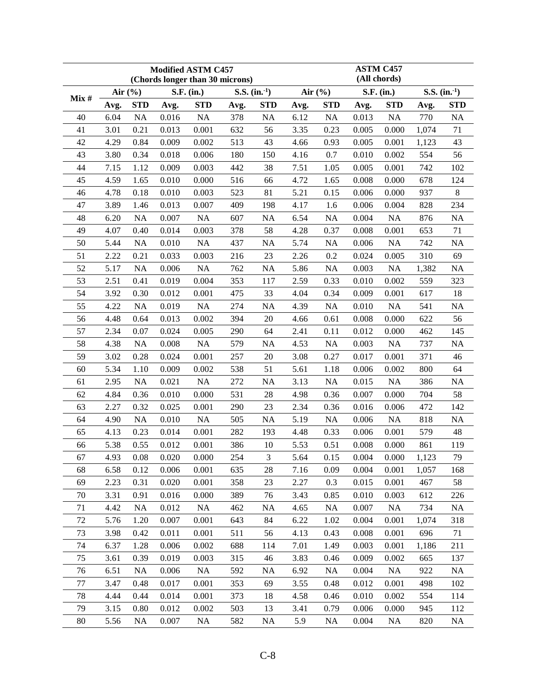|                            |                                              |                                                         | Modified ASTM C457                                 | <b>ASTM C457</b>                                 |                                               |                                  |                                             |                                                        |                                                    |                                                            |                                          |                                      |  |  |
|----------------------------|----------------------------------------------|---------------------------------------------------------|----------------------------------------------------|--------------------------------------------------|-----------------------------------------------|----------------------------------|---------------------------------------------|--------------------------------------------------------|----------------------------------------------------|------------------------------------------------------------|------------------------------------------|--------------------------------------|--|--|
|                            |                                              |                                                         |                                                    | (Chords longer than 30 microns)                  |                                               |                                  |                                             | (All chords)                                           |                                                    |                                                            |                                          |                                      |  |  |
| Mix#                       |                                              | Air $(\% )$                                             |                                                    | S.F. (in.)                                       |                                               | S.S. $(in.)$                     |                                             | Air $(\% )$                                            |                                                    | S.F. (in.)                                                 | S.S. $(in.)$                             |                                      |  |  |
|                            | Avg.                                         | <b>STD</b>                                              | Avg.                                               | <b>STD</b>                                       | Avg.                                          | <b>STD</b>                       | Avg.                                        | <b>STD</b>                                             | Avg.                                               | <b>STD</b>                                                 | Avg.                                     | <b>STD</b>                           |  |  |
| 40                         | 6.04                                         | NA                                                      | 0.016                                              | NA                                               | 378                                           | NA                               | 6.12                                        | NA                                                     | 0.013                                              | NA                                                         | 770                                      | NA                                   |  |  |
| 41                         | 3.01                                         | 0.21                                                    | 0.013                                              | 0.001                                            | 632                                           | 56                               | 3.35                                        | 0.23                                                   | 0.005                                              | 0.000                                                      | 1,074                                    | 71                                   |  |  |
| 42                         | 4.29                                         | 0.84                                                    | 0.009                                              | 0.002                                            | 513                                           | 43                               | 4.66                                        | 0.93                                                   | 0.005                                              | 0.001                                                      | 1,123                                    | 43                                   |  |  |
| 43                         | 3.80                                         | 0.34                                                    | 0.018                                              | 0.006                                            | 180                                           | 150                              | 4.16                                        | 0.7                                                    | 0.010                                              | 0.002                                                      | 554                                      | 56                                   |  |  |
| 44                         | 7.15                                         | 1.12                                                    | 0.009                                              | 0.003                                            | 442                                           | 38                               | 7.51                                        | 1.05                                                   | 0.005                                              | 0.001                                                      | 742                                      | 102                                  |  |  |
| 45                         | 4.59                                         | 1.65                                                    | 0.010                                              | 0.000                                            | 516                                           | 66                               | 4.72                                        | 1.65                                                   | 0.008                                              | 0.000                                                      | 678                                      | 124                                  |  |  |
| 46                         | 4.78                                         | 0.18                                                    | 0.010                                              | 0.003                                            | 523                                           | 81                               | 5.21                                        | 0.15                                                   | 0.006                                              | 0.000                                                      | 937                                      | 8                                    |  |  |
| 47                         | 3.89                                         | 1.46                                                    | 0.013                                              | 0.007                                            | 409                                           | 198                              | 4.17                                        | 1.6                                                    | 0.006                                              | 0.004                                                      | 828                                      | 234                                  |  |  |
| 48                         | 6.20                                         | NA                                                      | 0.007                                              | NA                                               | 607                                           | NA                               | 6.54                                        | <b>NA</b>                                              | 0.004                                              | NA                                                         | 876                                      | <b>NA</b>                            |  |  |
| 49                         | 4.07                                         | 0.40                                                    | 0.014                                              | 0.003                                            | 378                                           | 58                               | 4.28                                        | 0.37                                                   | 0.008                                              | 0.001                                                      | 653                                      | 71                                   |  |  |
| 50                         | 5.44                                         | NA                                                      | 0.010                                              | NA                                               | 437                                           | <b>NA</b>                        | 5.74                                        | NA                                                     | 0.006                                              | NA                                                         | 742                                      | <b>NA</b>                            |  |  |
| 51                         | 2.22                                         | 0.21                                                    | 0.033                                              | 0.003                                            | 216                                           | 23                               | 2.26                                        | 0.2                                                    | 0.024                                              | 0.005                                                      | 310                                      | 69                                   |  |  |
| 52                         | 5.17                                         | NA                                                      | 0.006                                              | NA                                               | 762                                           | <b>NA</b>                        | 5.86                                        | <b>NA</b>                                              | 0.003                                              | NA                                                         | 1,382                                    | <b>NA</b>                            |  |  |
| 53                         | 2.51                                         | 0.41                                                    | 0.019                                              | 0.004                                            | 353                                           | 117                              | 2.59                                        | 0.33                                                   | 0.010                                              | 0.002                                                      | 559                                      | 323                                  |  |  |
| 54                         | 3.92                                         | 0.30                                                    | 0.012                                              | 0.001                                            | 475                                           | 33                               | 4.04                                        | 0.34                                                   | 0.009                                              | 0.001                                                      | 617                                      | 18                                   |  |  |
| 55                         | 4.22                                         | NA                                                      | 0.019                                              | NA                                               | 274                                           | <b>NA</b>                        | 4.39                                        | NA                                                     | 0.010                                              | NA                                                         | 541                                      | <b>NA</b>                            |  |  |
| 56                         | 4.48                                         | 0.64                                                    | 0.013                                              | 0.002                                            | 394                                           | 20                               | 4.66                                        | 0.61                                                   | 0.008                                              | 0.000                                                      | 622                                      | 56                                   |  |  |
| 57                         | 2.34                                         | 0.07                                                    | 0.024                                              | 0.005                                            | 290                                           | 64                               | 2.41                                        | 0.11                                                   | 0.012                                              | 0.000                                                      | 462                                      | 145                                  |  |  |
| 58                         | 4.38                                         | NA                                                      | 0.008                                              | NA                                               | 579                                           | NA                               | 4.53                                        | NA                                                     | 0.003                                              | NA                                                         | 737                                      | <b>NA</b>                            |  |  |
| 59                         | 3.02                                         | 0.28                                                    | 0.024                                              | 0.001                                            | 257                                           | 20                               | 3.08                                        | 0.27                                                   | 0.017                                              | 0.001                                                      | 371                                      | 46                                   |  |  |
| 60                         | 5.34                                         | 1.10                                                    | 0.009                                              | 0.002                                            | 538                                           | 51                               | 5.61                                        | 1.18                                                   | 0.006                                              | 0.002                                                      | 800                                      | 64                                   |  |  |
| 61                         | 2.95                                         | <b>NA</b>                                               | 0.021                                              | NA                                               | 272                                           | <b>NA</b>                        | 3.13                                        | NA                                                     | 0.015                                              | <b>NA</b>                                                  | 386                                      | <b>NA</b>                            |  |  |
| 62                         | 4.84                                         | 0.36                                                    | 0.010                                              | $0.000\,$                                        | 531                                           | 28                               | 4.98                                        | 0.36                                                   | 0.007                                              | 0.000                                                      | 704                                      | 58                                   |  |  |
| 63                         | 2.27                                         | 0.32                                                    | 0.025                                              | 0.001                                            | 290                                           | 23                               | 2.34                                        | 0.36                                                   | 0.016                                              | 0.006                                                      | 472                                      | 142                                  |  |  |
| 64                         | 4.90                                         | NA                                                      | 0.010                                              | NA                                               | 505                                           | <b>NA</b>                        | 5.19                                        | <b>NA</b>                                              | 0.006                                              | <b>NA</b>                                                  | 818                                      | <b>NA</b>                            |  |  |
| 65                         | 4.13                                         | 0.23                                                    | 0.014                                              | 0.001                                            | 282                                           | 193                              | 4.48                                        | 0.33                                                   | 0.006                                              | 0.001                                                      | 579                                      | 48                                   |  |  |
| 66                         | 5.38                                         | 0.55                                                    | 0.012                                              | 0.001                                            | 386                                           | 10                               | 5.53                                        | 0.51                                                   | 0.008                                              | 0.000                                                      | 861                                      | 119                                  |  |  |
| 67                         | 4.93                                         | 0.08                                                    | 0.020                                              | 0.000                                            | 254                                           | $\mathfrak{Z}$                   | 5.64                                        | 0.15                                                   | 0.004                                              | 0.000                                                      | 1,123                                    | 79                                   |  |  |
| 68                         | 6.58                                         | 0.12                                                    | 0.006                                              | 0.001                                            | 635                                           | 28                               | 7.16                                        | 0.09                                                   | 0.004                                              | 0.001                                                      | 1,057                                    | 168                                  |  |  |
| 69                         | 2.23                                         | 0.31                                                    | 0.020                                              | 0.001                                            | 358                                           | 23                               | 2.27                                        | 0.3                                                    | 0.015                                              | 0.001                                                      | 467                                      | 58                                   |  |  |
| 70                         | 3.31                                         | 0.91                                                    | 0.016                                              | 0.000                                            | 389                                           | 76                               | 3.43                                        | 0.85                                                   | 0.010                                              | 0.003                                                      | 612                                      | 226                                  |  |  |
| 71                         | 4.42                                         | <b>NA</b>                                               | 0.012                                              | <b>NA</b>                                        | 462                                           | NA                               | 4.65                                        | <b>NA</b>                                              | 0.007                                              | <b>NA</b>                                                  | 734                                      | <b>NA</b>                            |  |  |
| 72                         | 5.76                                         | 1.20                                                    | 0.007                                              | 0.001                                            | 643                                           | 84                               | 6.22                                        | 1.02                                                   | 0.004                                              | 0.001                                                      | 1,074                                    | 318                                  |  |  |
| 73                         | 3.98                                         | 0.42                                                    | 0.011                                              | 0.001                                            |                                               | 56                               | 4.13                                        | 0.43                                                   | 0.008                                              | 0.001                                                      | 696                                      | 71                                   |  |  |
| 74                         | 6.37                                         |                                                         | 0.006                                              | 0.002                                            | 688                                           | 114                              | 7.01                                        | 1.49                                                   | 0.003                                              | 0.001                                                      |                                          | 211                                  |  |  |
| 75                         |                                              |                                                         |                                                    | 0.003                                            |                                               | 46                               |                                             |                                                        |                                                    |                                                            | 665                                      | 137                                  |  |  |
|                            |                                              |                                                         |                                                    |                                                  |                                               |                                  |                                             |                                                        |                                                    |                                                            |                                          |                                      |  |  |
|                            |                                              |                                                         |                                                    |                                                  |                                               |                                  |                                             |                                                        |                                                    |                                                            |                                          |                                      |  |  |
|                            |                                              |                                                         |                                                    |                                                  |                                               |                                  |                                             |                                                        |                                                    |                                                            |                                          |                                      |  |  |
|                            |                                              |                                                         |                                                    |                                                  |                                               |                                  |                                             |                                                        |                                                    |                                                            |                                          |                                      |  |  |
|                            |                                              |                                                         |                                                    |                                                  |                                               |                                  |                                             |                                                        |                                                    |                                                            |                                          |                                      |  |  |
| 76<br>77<br>78<br>79<br>80 | 3.61<br>6.51<br>3.47<br>4.44<br>3.15<br>5.56 | 1.28<br>0.39<br><b>NA</b><br>0.48<br>0.44<br>0.80<br>NA | 0.019<br>0.006<br>0.017<br>0.014<br>0.012<br>0.007 | <b>NA</b><br>0.001<br>0.001<br>0.002<br>$\rm NA$ | 511<br>315<br>592<br>353<br>373<br>503<br>582 | NA<br>69<br>18<br>13<br>$\rm NA$ | 3.83<br>6.92<br>3.55<br>4.58<br>3.41<br>5.9 | 0.46<br><b>NA</b><br>0.48<br>0.46<br>0.79<br><b>NA</b> | 0.009<br>0.004<br>0.012<br>0.010<br>0.006<br>0.004 | 0.002<br><b>NA</b><br>0.001<br>0.002<br>0.000<br><b>NA</b> | 1,186<br>922<br>498<br>554<br>945<br>820 | <b>NA</b><br>102<br>114<br>112<br>NA |  |  |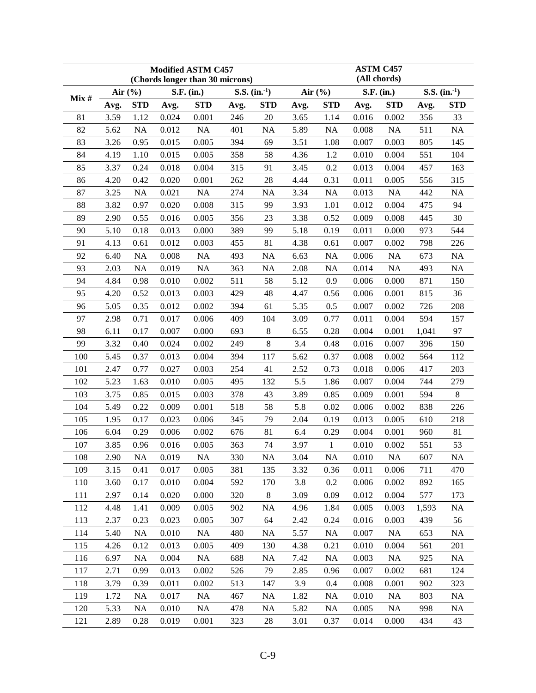| <b>Modified ASTM C457</b>                                                            | <b>ASTM C457</b>   |              |            |  |  |  |  |
|--------------------------------------------------------------------------------------|--------------------|--------------|------------|--|--|--|--|
| (Chords longer than 30 microns)                                                      | (All chords)       |              |            |  |  |  |  |
| S.S. $(in.)$<br>Air $(\% )$<br>Air $(\% )$<br>S.F. (in.)<br>Mix#                     | S.F. (in.)         | S.S. $(in.)$ |            |  |  |  |  |
| <b>STD</b><br><b>STD</b><br><b>STD</b><br><b>STD</b><br>Avg.<br>Avg.<br>Avg.<br>Avg. | <b>STD</b><br>Avg. | Avg.         | <b>STD</b> |  |  |  |  |
| 3.59<br>20<br>81<br>1.12<br>0.024<br>0.001<br>246<br>3.65<br>1.14                    | 0.016<br>0.002     | 356          | 33         |  |  |  |  |
| <b>NA</b><br>82<br><b>NA</b><br>0.012<br>NA<br>401<br>5.89<br>NA<br>5.62             | NA<br>0.008        | 511          | <b>NA</b>  |  |  |  |  |
| 83<br>3.26<br>0.005<br>394<br>69<br>3.51<br>0.95<br>0.015<br>1.08                    | 0.003<br>0.007     | 805          | 145        |  |  |  |  |
| 84<br>4.19<br>0.005<br>58<br>4.36<br>1.2<br>1.10<br>0.015<br>358                     | 0.004<br>0.010     | 551          | 104        |  |  |  |  |
| 3.37<br>0.2<br>85<br>0.24<br>0.018<br>0.004<br>315<br>91<br>3.45                     | 0.013<br>0.004     | 457          | 163        |  |  |  |  |
| 28<br>86<br>4.20<br>0.020<br>0.001<br>262<br>4.44<br>0.31<br>0.42                    | 0.011<br>0.005     | 556          | 315        |  |  |  |  |
| 87<br>3.25<br><b>NA</b><br>NA<br>274<br><b>NA</b><br>3.34<br><b>NA</b><br>0.021      | 0.013<br>NA        | 442          | <b>NA</b>  |  |  |  |  |
| 3.82<br>0.008<br>99<br>88<br>0.97<br>0.020<br>315<br>3.93<br>1.01                    | 0.004<br>0.012     | 475          | 94         |  |  |  |  |
| 89<br>2.90<br>0.005<br>23<br>3.38<br>0.52<br>0.55<br>0.016<br>356                    | 0.008<br>0.009     | 445          | 30         |  |  |  |  |
| 5.10<br>389<br>99<br>90<br>0.18<br>0.013<br>0.000<br>5.18<br>0.19                    | 0.011<br>0.000     | 973          | 544        |  |  |  |  |
| 81<br>91<br>4.13<br>0.012<br>0.003<br>455<br>4.38<br>0.61<br>0.61                    | 0.007<br>0.002     | 798          | 226        |  |  |  |  |
| 92<br>6.40<br><b>NA</b><br>0.008<br>NA<br>493<br><b>NA</b><br><b>NA</b><br>6.63      | NA<br>0.006        | 673          | <b>NA</b>  |  |  |  |  |
| NA<br>2.08<br>93<br>2.03<br>NA<br>0.019<br>363<br><b>NA</b><br><b>NA</b>             | NA<br>0.014        | 493          | <b>NA</b>  |  |  |  |  |
| 58<br>4.84<br>0.002<br>5.12<br>0.9<br>94<br>0.98<br>0.010<br>511                     | 0.000<br>0.006     | 871          | 150        |  |  |  |  |
| 4.20<br>429<br>48<br>95<br>0.52<br>0.013<br>0.003<br>4.47<br>0.56                    | 0.006<br>0.001     | 815          | 36         |  |  |  |  |
| 5.05<br>0.012<br>0.002<br>394<br>61<br>5.35<br>0.5<br>96<br>0.35                     | 0.007<br>0.002     | 726          | 208        |  |  |  |  |
| 97<br>2.98<br>0.006<br>409<br>104<br>3.09<br>0.71<br>0.017<br>0.77                   | 0.011<br>0.004     | 594          | 157        |  |  |  |  |
| $8\,$<br>98<br>6.11<br>0.17<br>0.007<br>0.000<br>693<br>6.55<br>0.28                 | 0.004<br>0.001     | 1,041        | 97         |  |  |  |  |
| 8<br>3.32<br>99<br>0.002<br>249<br>3.4<br>0.48<br>0.40<br>0.024                      | 0.007<br>0.016     | 396          | 150        |  |  |  |  |
| 117<br>100<br>5.45<br>0.37<br>0.013<br>0.004<br>394<br>5.62<br>0.37                  | 0.008<br>0.002     | 564          | 112        |  |  |  |  |
| 101<br>2.47<br>0.003<br>254<br>41<br>2.52<br>0.77<br>0.027<br>0.73                   | 0.006<br>0.018     | 417          | 203        |  |  |  |  |
| 5.5<br>102<br>5.23<br>495<br>132<br>1.63<br>0.010<br>0.005<br>1.86                   | 0.007<br>0.004     | 744          | 279        |  |  |  |  |
| 103<br>3.75<br>378<br>43<br>3.89<br>0.85<br>0.015<br>0.003<br>0.85                   | 0.009<br>0.001     | 594          | 8          |  |  |  |  |
| 58<br>5.8<br>104<br>5.49<br>0.22<br>0.001<br>518<br>0.02<br>0.009                    | 0.002<br>0.006     | 838          | 226        |  |  |  |  |
| 79<br>105<br>1.95<br>0.17<br>0.023<br>0.006<br>345<br>2.04<br>0.19                   | 0.013<br>0.005     | 610          | 218        |  |  |  |  |
| 106<br>6.04<br>0.002<br>81<br>6.4<br>0.29<br>0.006<br>676<br>0.29                    | 0.004<br>0.001     | 960          | 81         |  |  |  |  |
| 74<br>107<br>3.85<br>0.96<br>363<br>3.97<br>$\mathbf{1}$<br>0.016<br>0.005           | 0.010<br>0.002     | 551          | 53         |  |  |  |  |
| 108<br>2.90<br>NA<br>0.019<br>NA<br>330<br>NA<br>3.04<br>NA                          | 0.010<br>NA        | 607          | <b>NA</b>  |  |  |  |  |
| 3.32<br>109<br>3.15<br>0.017<br>0.005<br>381<br>135<br>0.36<br>0.41                  | 0.011<br>0.006     | 711          | 470        |  |  |  |  |
| 110<br>3.60<br>0.17<br>0.010<br>0.004<br>592<br>170<br>3.8<br>0.2                    | 0.006<br>0.002     | 892          | 165        |  |  |  |  |
| 8<br>111<br>2.97<br>320<br>3.09<br>0.09<br>0.14<br>0.020<br>0.000                    | 0.012<br>0.004     | 577          | 173        |  |  |  |  |
| 112<br><b>NA</b><br>4.48<br>1.41<br>0.009<br>0.005<br>902<br>4.96<br>1.84            | 0.005<br>0.003     | 1,593        | <b>NA</b>  |  |  |  |  |
| 113<br>2.37<br>64<br>0.23<br>0.023<br>0.005<br>307<br>2.42<br>0.24                   | 0.016<br>0.003     | 439          | 56         |  |  |  |  |
| 114<br>5.40<br>NA<br>NA<br>5.57<br><b>NA</b><br>0.010<br>480<br><b>NA</b>            | 0.007<br>NA        | 653          | <b>NA</b>  |  |  |  |  |
| 115<br>4.26<br>0.12<br>0.013<br>0.005<br>409<br>130<br>4.38<br>0.21                  | 0.010<br>0.004     | 561          | 201        |  |  |  |  |
| 116<br>6.97<br>NA<br>7.42<br><b>NA</b><br>0.004<br>688<br><b>NA</b><br><b>NA</b>     | 0.003<br><b>NA</b> | 925          | <b>NA</b>  |  |  |  |  |
| 117<br>79<br>2.71<br>0.99<br>0.013<br>0.002<br>526<br>2.85<br>0.96                   | 0.007<br>0.002     | 681          | 124        |  |  |  |  |
| 118<br>3.79<br>0.39<br>0.011<br>0.002<br>513<br>147<br>3.9<br>0.4                    | 0.008<br>0.001     | 902          | 323        |  |  |  |  |
| 119<br>1.72<br>NA<br>NA<br>1.82<br>NA<br>0.017<br>467<br><b>NA</b>                   | 0.010<br>NA        | 803          | <b>NA</b>  |  |  |  |  |
| 120<br>5.33<br>0.010<br><b>NA</b><br>478<br><b>NA</b><br>5.82<br>NA<br>NA            | 0.005<br><b>NA</b> | 998          | NA         |  |  |  |  |
| 121<br>2.89<br>0.019<br>0.001<br>323<br>$28\,$<br>3.01<br>0.28<br>0.37               | 0.014<br>0.000     | 434          | 43         |  |  |  |  |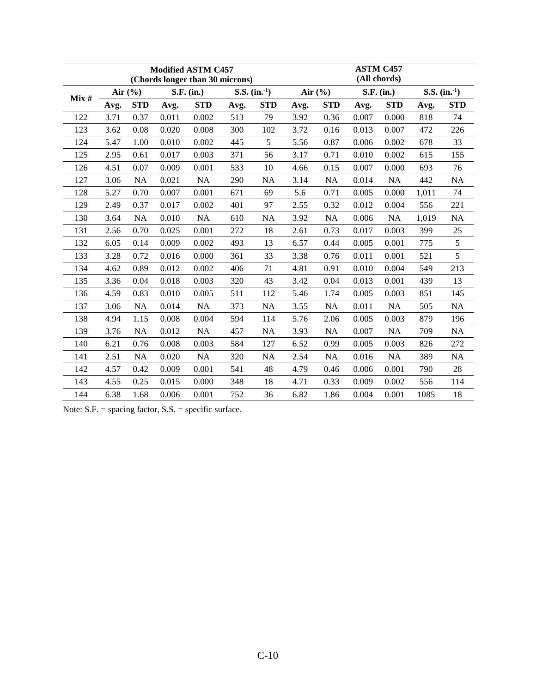|      |      |             |       | <b>Modified ASTM C457</b><br>(Chords longer than 30 microns) |      |              | <b>ASTM C457</b><br>(All chords) |             |       |            |       |              |  |
|------|------|-------------|-------|--------------------------------------------------------------|------|--------------|----------------------------------|-------------|-------|------------|-------|--------------|--|
| Mix# |      | Air $(\% )$ |       | S.F. (in.)                                                   |      | S.S. $(in.)$ |                                  | Air $(\% )$ |       | S.F. (in.) |       | S.S. $(in.)$ |  |
|      | Avg. | <b>STD</b>  | Avg.  | <b>STD</b>                                                   | Avg. | <b>STD</b>   | Avg.                             | <b>STD</b>  | Avg.  | <b>STD</b> | Avg.  | <b>STD</b>   |  |
| 122  | 3.71 | 0.37        | 0.011 | 0.002                                                        | 513  | 79           | 3.92                             | 0.36        | 0.007 | 0.000      | 818   | 74           |  |
| 123  | 3.62 | 0.08        | 0.020 | 0.008                                                        | 300  | 102          | 3.72                             | 0.16        | 0.013 | 0.007      | 472   | 226          |  |
| 124  | 5.47 | 1.00        | 0.010 | 0.002                                                        | 445  | 5            | 5.56                             | 0.87        | 0.006 | 0.002      | 678   | 33           |  |
| 125  | 2.95 | 0.61        | 0.017 | 0.003                                                        | 371  | 56           | 3.17                             | 0.71        | 0.010 | 0.002      | 615   | 155          |  |
| 126  | 4.51 | 0.07        | 0.009 | 0.001                                                        | 533  | 10           | 4.66                             | 0.15        | 0.007 | 0.000      | 693   | 76           |  |
| 127  | 3.06 | <b>NA</b>   | 0.021 | <b>NA</b>                                                    | 290  | NA           | 3.14                             | NA          | 0.014 | NA         | 442   | NA           |  |
| 128  | 5.27 | 0.70        | 0.007 | 0.001                                                        | 671  | 69           | 5.6                              | 0.71        | 0.005 | 0.000      | 1,011 | 74           |  |
| 129  | 2.49 | 0.37        | 0.017 | 0.002                                                        | 401  | 97           | 2.55                             | 0.32        | 0.012 | 0.004      | 556   | 221          |  |
| 130  | 3.64 | NA          | 0.010 | <b>NA</b>                                                    | 610  | NA           | 3.92                             | NA          | 0.006 | NA         | 1,019 | NA           |  |
| 131  | 2.56 | 0.70        | 0.025 | 0.001                                                        | 272  | 18           | 2.61                             | 0.73        | 0.017 | 0.003      | 399   | 25           |  |
| 132  | 6.05 | 0.14        | 0.009 | 0.002                                                        | 493  | 13           | 6.57                             | 0.44        | 0.005 | 0.001      | 775   | 5            |  |
| 133  | 3.28 | 0.72        | 0.016 | 0.000                                                        | 361  | 33           | 3.38                             | 0.76        | 0.011 | 0.001      | 521   | 5            |  |
| 134  | 4.62 | 0.89        | 0.012 | 0.002                                                        | 406  | 71           | 4.81                             | 0.91        | 0.010 | 0.004      | 549   | 213          |  |
| 135  | 3.36 | 0.04        | 0.018 | 0.003                                                        | 320  | 43           | 3.42                             | 0.04        | 0.013 | 0.001      | 439   | 13           |  |
| 136  | 4.59 | 0.83        | 0.010 | 0.005                                                        | 511  | 112          | 5.46                             | 1.74        | 0.005 | 0.003      | 851   | 145          |  |
| 137  | 3.06 | <b>NA</b>   | 0.014 | NA                                                           | 373  | NA           | 3.55                             | NA          | 0.011 | <b>NA</b>  | 505   | NA           |  |
| 138  | 4.94 | 1.15        | 0.008 | 0.004                                                        | 594  | 114          | 5.76                             | 2.06        | 0.005 | 0.003      | 879   | 196          |  |
| 139  | 3.76 | NA          | 0.012 | NA                                                           | 457  | NA           | 3.93                             | NA          | 0.007 | NA         | 709   | NA           |  |
| 140  | 6.21 | 0.76        | 0.008 | 0.003                                                        | 584  | 127          | 6.52                             | 0.99        | 0.005 | 0.003      | 826   | 272          |  |
| 141  | 2.51 | NA          | 0.020 | NA                                                           | 320  | NA           | 2.54                             | NA          | 0.016 | NA         | 389   | NA           |  |
| 142  | 4.57 | 0.42        | 0.009 | 0.001                                                        | 541  | 48           | 4.79                             | 0.46        | 0.006 | 0.001      | 790   | 28           |  |
| 143  | 4.55 | 0.25        | 0.015 | 0.000                                                        | 348  | 18           | 4.71                             | 0.33        | 0.009 | 0.002      | 556   | 114          |  |
| 144  | 6.38 | 1.68        | 0.006 | 0.001                                                        | 752  | 36           | 6.82                             | 1.86        | 0.004 | 0.001      | 1085  | 18           |  |

Note: S.F. = spacing factor, S.S. = specific surface.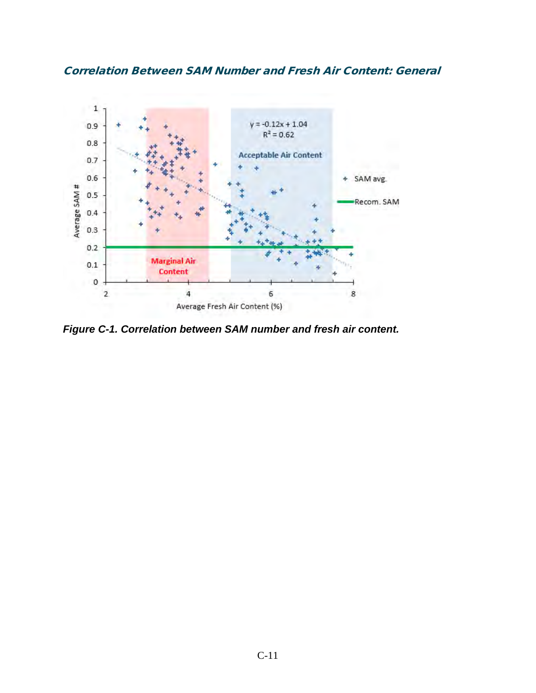



*Figure C-1. Correlation between SAM number and fresh air content.*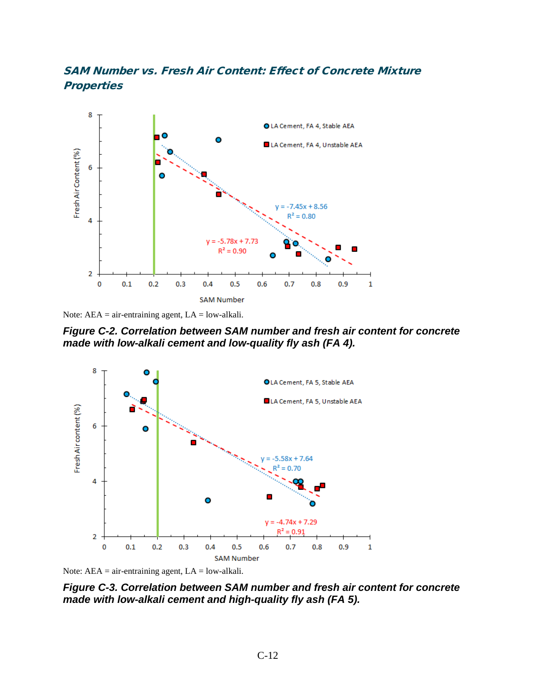#### SAM Number vs. Fresh Air Content: Effect of Concrete Mixture **Properties**





*Figure C-2. Correlation between SAM number and fresh air content for concrete made with low-alkali cement and low-quality fly ash (FA 4).* 



Note:  $AEA = air-entraining agent$ ,  $LA = low-alkali$ .

*Figure C-3. Correlation between SAM number and fresh air content for concrete made with low-alkali cement and high-quality fly ash (FA 5).*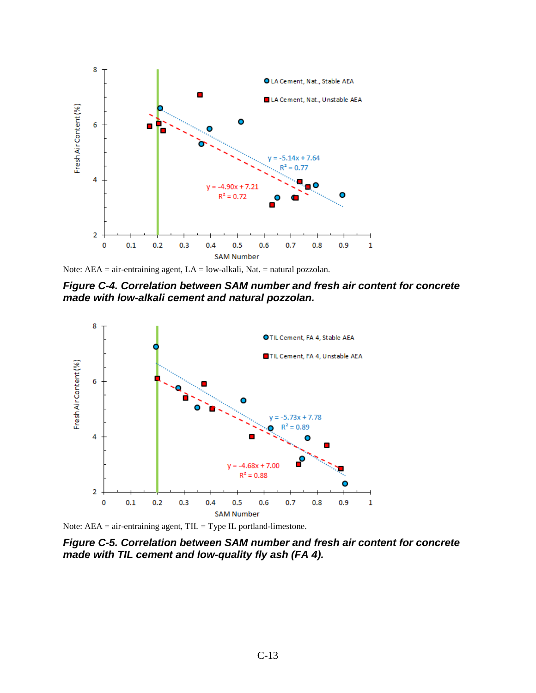

Note: AEA = air-entraining agent, LA = low-alkali, Nat. = natural pozzolan.

*Figure C-4. Correlation between SAM number and fresh air content for concrete made with low-alkali cement and natural pozzolan.* 



Note:  $AEA = air-entraining agent$ ,  $TIL = Type IL$  portland-limestone.

*Figure C-5. Correlation between SAM number and fresh air content for concrete made with TIL cement and low-quality fly ash (FA 4).*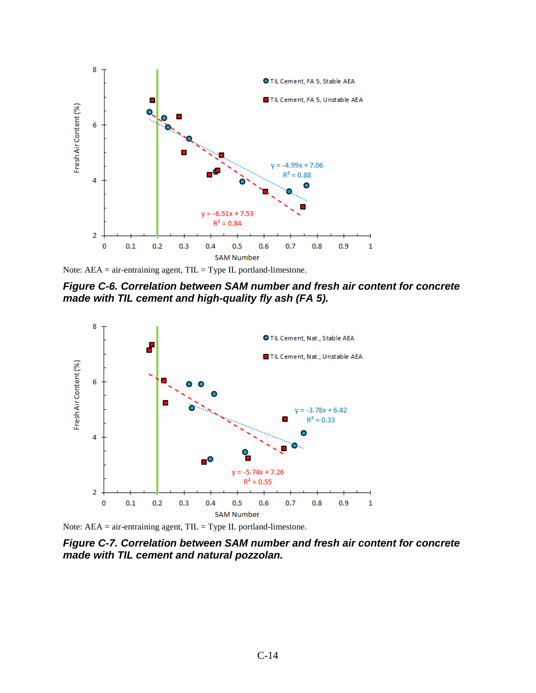

Note:  $AEA = air-entraining agent$ ,  $TIL = Type IL$  portland-limestone.

*Figure C-6. Correlation between SAM number and fresh air content for concrete made with TIL cement and high-quality fly ash (FA 5).* 



Note: AEA = air-entraining agent, TIL = Type IL portland-limestone.

*Figure C-7. Correlation between SAM number and fresh air content for concrete made with TIL cement and natural pozzolan.*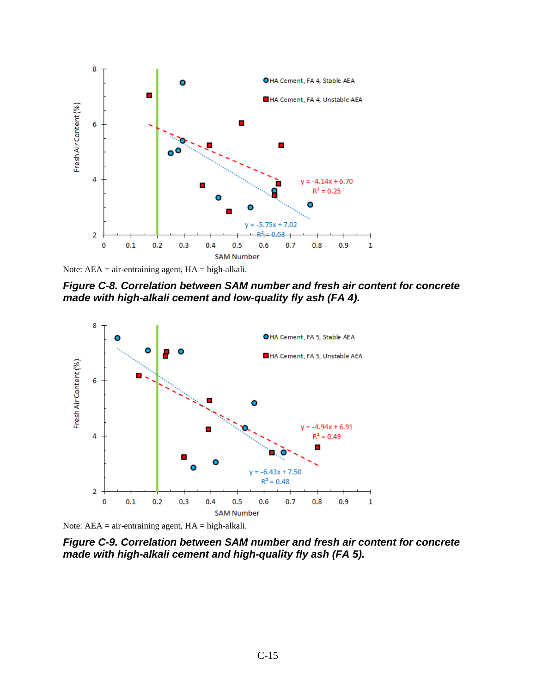

Note:  $AEA = air-entraining agent$ ,  $HA = high-alkali$ .

*Figure C-8. Correlation between SAM number and fresh air content for concrete made with high-alkali cement and low-quality fly ash (FA 4).* 



Note:  $AEA = air-entraining agent$ ,  $HA = high-alkali$ .

*Figure C-9. Correlation between SAM number and fresh air content for concrete made with high-alkali cement and high-quality fly ash (FA 5).*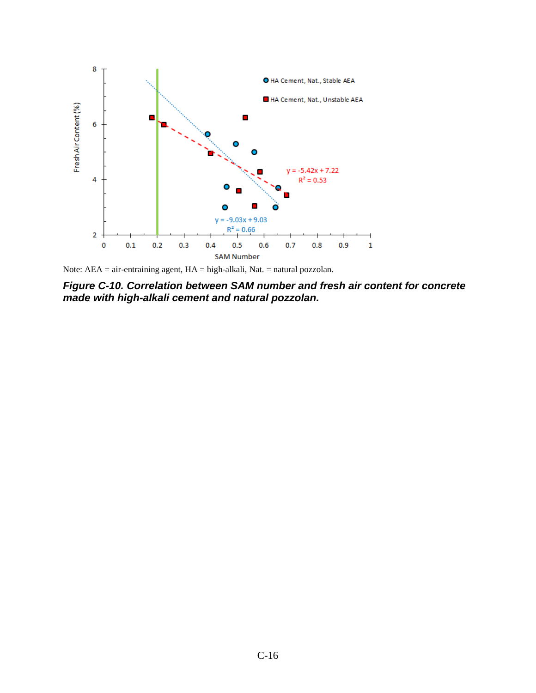

Note: AEA = air-entraining agent, HA = high-alkali, Nat. = natural pozzolan.

*Figure C-10. Correlation between SAM number and fresh air content for concrete made with high-alkali cement and natural pozzolan.*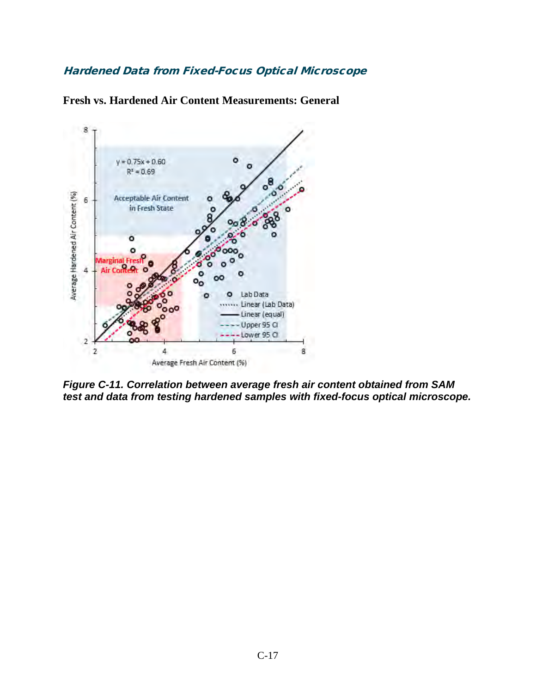#### Hardened Data from Fixed-Focus Optical Microscope

**Fresh vs. Hardened Air Content Measurements: General** 



*Figure C-11. Correlation between average fresh air content obtained from SAM test and data from testing hardened samples with fixed-focus optical microscope.*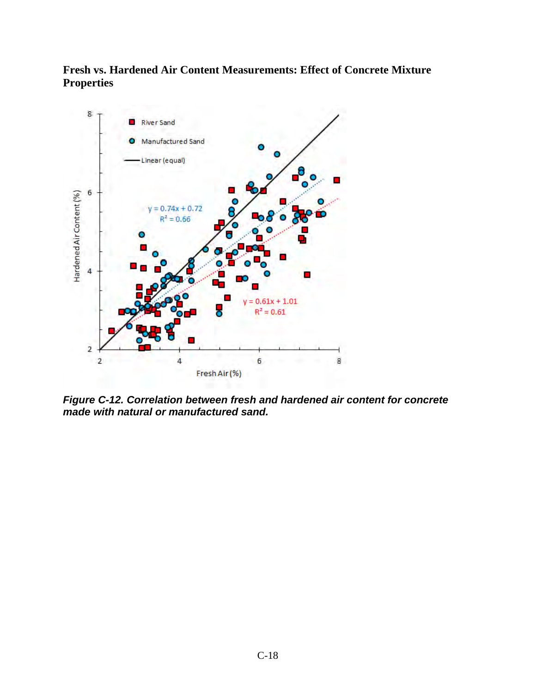### **Fresh vs. Hardened Air Content Measurements: Effect of Concrete Mixture Properties**



*Figure C-12. Correlation between fresh and hardened air content for concrete made with natural or manufactured sand.*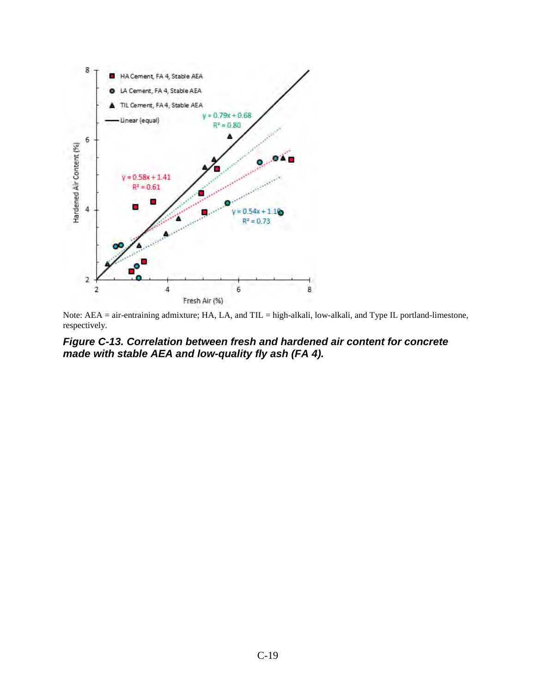

Note: AEA = air-entraining admixture; HA, LA, and TIL = high-alkali, low-alkali, and Type IL portland-limestone, respectively.

*Figure C-13. Correlation between fresh and hardened air content for concrete made with stable AEA and low-quality fly ash (FA 4).*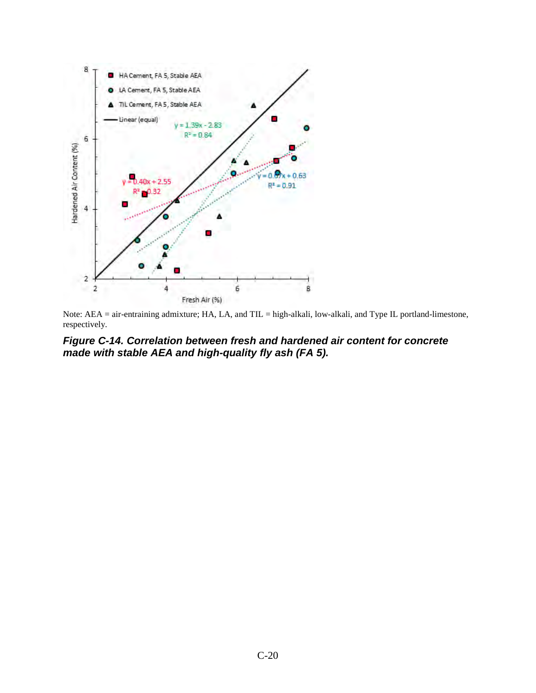

Note: AEA = air-entraining admixture; HA, LA, and TIL = high-alkali, low-alkali, and Type IL portland-limestone, respectively.

#### *Figure C-14. Correlation between fresh and hardened air content for concrete made with stable AEA and high-quality fly ash (FA 5).*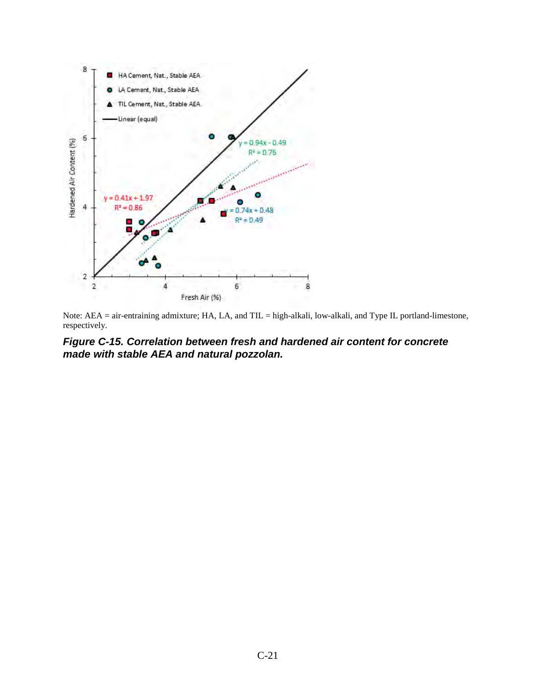

Note: AEA = air-entraining admixture; HA, LA, and TIL = high-alkali, low-alkali, and Type IL portland-limestone, respectively.

#### *Figure C-15. Correlation between fresh and hardened air content for concrete made with stable AEA and natural pozzolan.*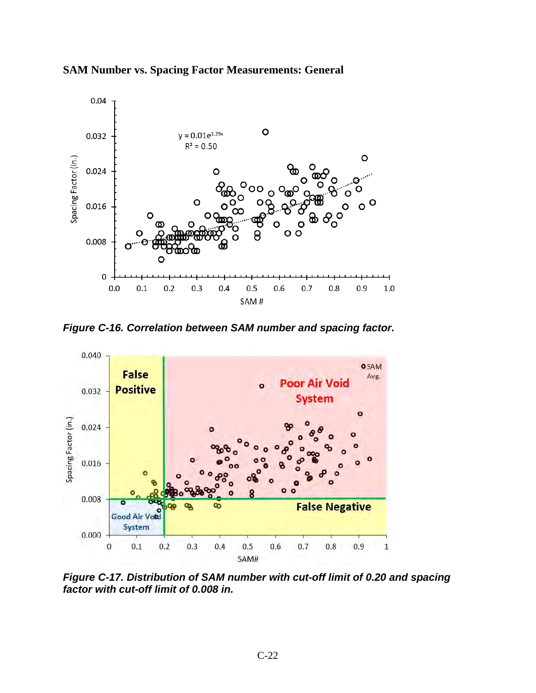



*Figure C-16. Correlation between SAM number and spacing factor.* 



*Figure C-17. Distribution of SAM number with cut-off limit of 0.20 and spacing factor with cut-off limit of 0.008 in.*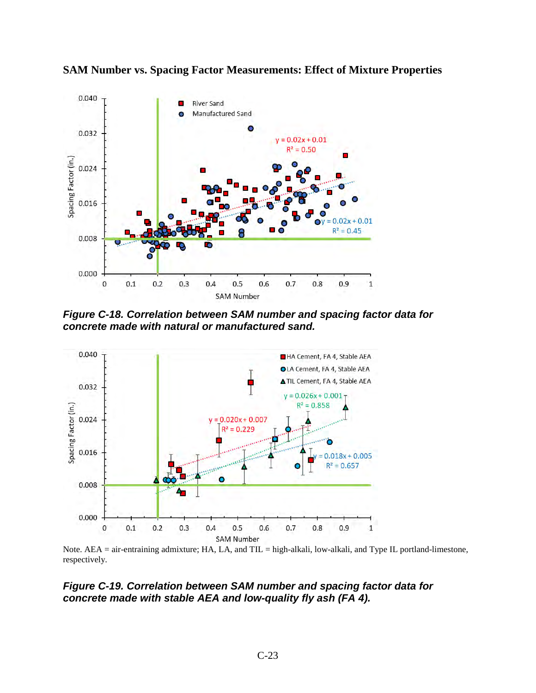

**SAM Number vs. Spacing Factor Measurements: Effect of Mixture Properties** 

*Figure C-18. Correlation between SAM number and spacing factor data for concrete made with natural or manufactured sand.* 



Note. AEA = air-entraining admixture; HA, LA, and TIL = high-alkali, low-alkali, and Type IL portland-limestone, respectively.

#### *Figure C-19. Correlation between SAM number and spacing factor data for concrete made with stable AEA and low-quality fly ash (FA 4).*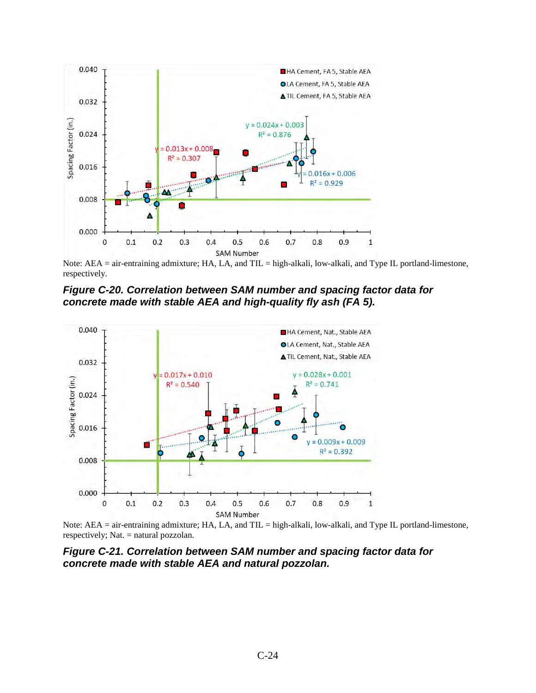

Note: AEA = air-entraining admixture; HA, LA, and TIL = high-alkali, low-alkali, and Type IL portland-limestone, respectively.

*Figure C-20. Correlation between SAM number and spacing factor data for concrete made with stable AEA and high-quality fly ash (FA 5).* 



Note: AEA = air-entraining admixture; HA, LA, and TIL = high-alkali, low-alkali, and Type IL portland-limestone, respectively; Nat. = natural pozzolan.

*Figure C-21. Correlation between SAM number and spacing factor data for concrete made with stable AEA and natural pozzolan.*